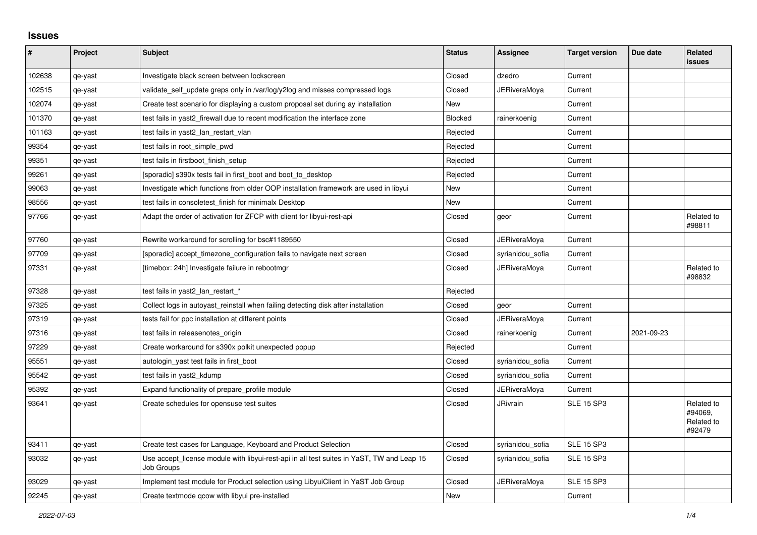## **Issues**

| #      | Project | <b>Subject</b>                                                                                          | <b>Status</b> | Assignee            | <b>Target version</b> | Due date   | Related<br><b>issues</b>                      |
|--------|---------|---------------------------------------------------------------------------------------------------------|---------------|---------------------|-----------------------|------------|-----------------------------------------------|
| 102638 | qe-yast | Investigate black screen between lockscreen                                                             | Closed        | dzedro              | Current               |            |                                               |
| 102515 | qe-yast | validate_self_update greps only in /var/log/y2log and misses compressed logs                            | Closed        | JERiveraMoya        | Current               |            |                                               |
| 102074 | qe-yast | Create test scenario for displaying a custom proposal set during ay installation                        | <b>New</b>    |                     | Current               |            |                                               |
| 101370 | qe-yast | test fails in yast2 firewall due to recent modification the interface zone                              | Blocked       | rainerkoenig        | Current               |            |                                               |
| 101163 | qe-yast | test fails in yast2_lan_restart_vlan                                                                    | Rejected      |                     | Current               |            |                                               |
| 99354  | qe-yast | test fails in root simple pwd                                                                           | Rejected      |                     | Current               |            |                                               |
| 99351  | qe-yast | test fails in firstboot_finish_setup                                                                    | Rejected      |                     | Current               |            |                                               |
| 99261  | qe-yast | [sporadic] s390x tests fail in first_boot and boot_to_desktop                                           | Rejected      |                     | Current               |            |                                               |
| 99063  | qe-yast | Investigate which functions from older OOP installation framework are used in libyui                    | <b>New</b>    |                     | Current               |            |                                               |
| 98556  | qe-yast | test fails in consoletest finish for minimalx Desktop                                                   | New           |                     | Current               |            |                                               |
| 97766  | qe-yast | Adapt the order of activation for ZFCP with client for libyui-rest-api                                  | Closed        | geor                | Current               |            | Related to<br>#98811                          |
| 97760  | qe-yast | Rewrite workaround for scrolling for bsc#1189550                                                        | Closed        | <b>JERiveraMoya</b> | Current               |            |                                               |
| 97709  | qe-yast | [sporadic] accept timezone configuration fails to navigate next screen                                  | Closed        | syrianidou_sofia    | Current               |            |                                               |
| 97331  | qe-yast | [timebox: 24h] Investigate failure in rebootmgr                                                         | Closed        | JERiveraMoya        | Current               |            | Related to<br>#98832                          |
| 97328  | qe-yast | test fails in yast2_lan_restart_*                                                                       | Rejected      |                     |                       |            |                                               |
| 97325  | qe-yast | Collect logs in autoyast reinstall when failing detecting disk after installation                       | Closed        | geor                | Current               |            |                                               |
| 97319  | qe-yast | tests fail for ppc installation at different points                                                     | Closed        | <b>JERiveraMoya</b> | Current               |            |                                               |
| 97316  | qe-yast | test fails in releasenotes_origin                                                                       | Closed        | rainerkoenig        | Current               | 2021-09-23 |                                               |
| 97229  | qe-yast | Create workaround for s390x polkit unexpected popup                                                     | Rejected      |                     | Current               |            |                                               |
| 95551  | qe-yast | autologin_yast test fails in first_boot                                                                 | Closed        | syrianidou sofia    | Current               |            |                                               |
| 95542  | qe-yast | test fails in yast2_kdump                                                                               | Closed        | syrianidou_sofia    | Current               |            |                                               |
| 95392  | qe-yast | Expand functionality of prepare profile module                                                          | Closed        | <b>JERiveraMova</b> | Current               |            |                                               |
| 93641  | qe-yast | Create schedules for opensuse test suites                                                               | Closed        | <b>JRivrain</b>     | <b>SLE 15 SP3</b>     |            | Related to<br>#94069.<br>Related to<br>#92479 |
| 93411  | qe-yast | Create test cases for Language, Keyboard and Product Selection                                          | Closed        | syrianidou_sofia    | <b>SLE 15 SP3</b>     |            |                                               |
| 93032  | qe-yast | Use accept_license module with libyui-rest-api in all test suites in YaST, TW and Leap 15<br>Job Groups | Closed        | syrianidou_sofia    | <b>SLE 15 SP3</b>     |            |                                               |
| 93029  | qe-yast | Implement test module for Product selection using LibyuiClient in YaST Job Group                        | Closed        | JERiveraMoya        | <b>SLE 15 SP3</b>     |            |                                               |
| 92245  | qe-yast | Create textmode gcow with libyui pre-installed                                                          | New           |                     | Current               |            |                                               |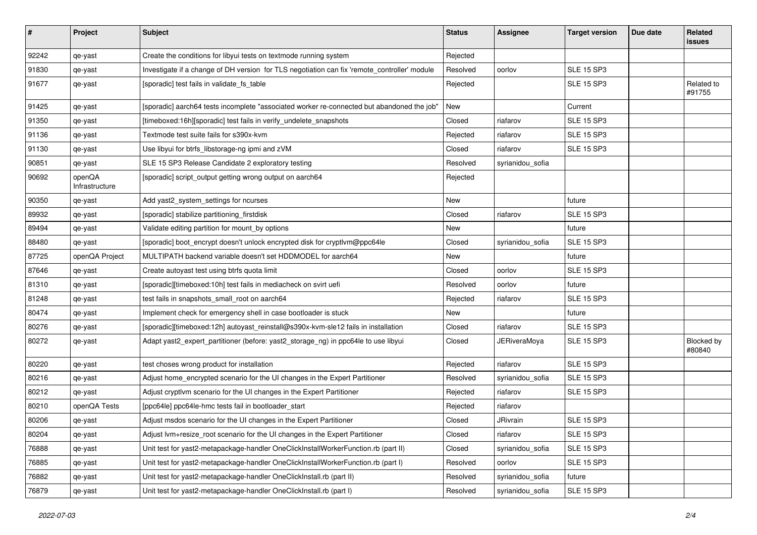| $\vert$ # | Project                  | <b>Subject</b>                                                                               | <b>Status</b> | <b>Assignee</b>     | <b>Target version</b> | Due date | Related<br><b>issues</b> |
|-----------|--------------------------|----------------------------------------------------------------------------------------------|---------------|---------------------|-----------------------|----------|--------------------------|
| 92242     | qe-yast                  | Create the conditions for libyui tests on textmode running system                            | Rejected      |                     |                       |          |                          |
| 91830     | qe-yast                  | Investigate if a change of DH version for TLS negotiation can fix 'remote_controller' module | Resolved      | oorlov              | <b>SLE 15 SP3</b>     |          |                          |
| 91677     | qe-yast                  | [sporadic] test fails in validate_fs_table                                                   | Rejected      |                     | <b>SLE 15 SP3</b>     |          | Related to<br>#91755     |
| 91425     | qe-yast                  | [sporadic] aarch64 tests incomplete "associated worker re-connected but abandoned the job"   | New           |                     | Current               |          |                          |
| 91350     | qe-yast                  | [timeboxed:16h][sporadic] test fails in verify_undelete_snapshots                            | Closed        | riafarov            | <b>SLE 15 SP3</b>     |          |                          |
| 91136     | qe-yast                  | Textmode test suite fails for s390x-kvm                                                      | Rejected      | riafarov            | <b>SLE 15 SP3</b>     |          |                          |
| 91130     | qe-yast                  | Use libyui for btrfs_libstorage-ng ipmi and zVM                                              | Closed        | riafarov            | <b>SLE 15 SP3</b>     |          |                          |
| 90851     | qe-yast                  | SLE 15 SP3 Release Candidate 2 exploratory testing                                           | Resolved      | syrianidou_sofia    |                       |          |                          |
| 90692     | openQA<br>Infrastructure | [sporadic] script_output getting wrong output on aarch64                                     | Rejected      |                     |                       |          |                          |
| 90350     | qe-yast                  | Add yast2_system_settings for ncurses                                                        | New           |                     | future                |          |                          |
| 89932     | qe-yast                  | [sporadic] stabilize partitioning_firstdisk                                                  | Closed        | riafarov            | <b>SLE 15 SP3</b>     |          |                          |
| 89494     | qe-yast                  | Validate editing partition for mount_by options                                              | New           |                     | future                |          |                          |
| 88480     | qe-yast                  | [sporadic] boot_encrypt doesn't unlock encrypted disk for cryptlvm@ppc64le                   | Closed        | syrianidou_sofia    | <b>SLE 15 SP3</b>     |          |                          |
| 87725     | openQA Project           | MULTIPATH backend variable doesn't set HDDMODEL for aarch64                                  | New           |                     | future                |          |                          |
| 87646     | qe-yast                  | Create autoyast test using btrfs quota limit                                                 | Closed        | oorlov              | <b>SLE 15 SP3</b>     |          |                          |
| 81310     | qe-yast                  | [sporadic][timeboxed:10h] test fails in mediacheck on svirt uefi                             | Resolved      | oorlov              | future                |          |                          |
| 81248     | qe-yast                  | test fails in snapshots_small_root on aarch64                                                | Rejected      | riafarov            | <b>SLE 15 SP3</b>     |          |                          |
| 80474     | qe-yast                  | Implement check for emergency shell in case bootloader is stuck                              | New           |                     | future                |          |                          |
| 80276     | qe-yast                  | [sporadic][timeboxed:12h] autoyast_reinstall@s390x-kvm-sle12 fails in installation           | Closed        | riafarov            | <b>SLE 15 SP3</b>     |          |                          |
| 80272     | qe-yast                  | Adapt yast2_expert_partitioner (before: yast2_storage_ng) in ppc64le to use libyui           | Closed        | <b>JERiveraMoya</b> | <b>SLE 15 SP3</b>     |          | Blocked by<br>#80840     |
| 80220     | qe-yast                  | test choses wrong product for installation                                                   | Rejected      | riafarov            | <b>SLE 15 SP3</b>     |          |                          |
| 80216     | qe-yast                  | Adjust home_encrypted scenario for the UI changes in the Expert Partitioner                  | Resolved      | syrianidou_sofia    | <b>SLE 15 SP3</b>     |          |                          |
| 80212     | qe-yast                  | Adjust cryptivm scenario for the UI changes in the Expert Partitioner                        | Rejected      | riafarov            | <b>SLE 15 SP3</b>     |          |                          |
| 80210     | openQA Tests             | [ppc64le] ppc64le-hmc tests fail in bootloader_start                                         | Rejected      | riafarov            |                       |          |                          |
| 80206     | qe-yast                  | Adjust msdos scenario for the UI changes in the Expert Partitioner                           | Closed        | JRivrain            | <b>SLE 15 SP3</b>     |          |                          |
| 80204     | qe-yast                  | Adjust lvm+resize_root scenario for the UI changes in the Expert Partitioner                 | Closed        | riafarov            | <b>SLE 15 SP3</b>     |          |                          |
| 76888     | qe-yast                  | Unit test for yast2-metapackage-handler OneClickInstallWorkerFunction.rb (part II)           | Closed        | syrianidou_sofia    | <b>SLE 15 SP3</b>     |          |                          |
| 76885     | qe-yast                  | Unit test for yast2-metapackage-handler OneClickInstallWorkerFunction.rb (part I)            | Resolved      | oorlov              | <b>SLE 15 SP3</b>     |          |                          |
| 76882     | qe-yast                  | Unit test for yast2-metapackage-handler OneClickInstall.rb (part II)                         | Resolved      | syrianidou_sofia    | future                |          |                          |
| 76879     | qe-yast                  | Unit test for yast2-metapackage-handler OneClickInstall.rb (part I)                          | Resolved      | syrianidou_sofia    | <b>SLE 15 SP3</b>     |          |                          |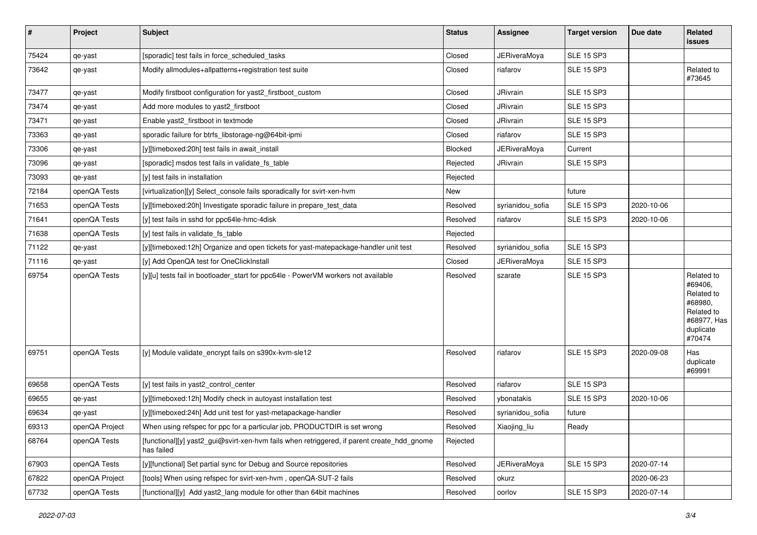| #     | Project        | Subject                                                                                                  | <b>Status</b> | Assignee            | <b>Target version</b> | Due date   | Related<br>issues                                                                                  |
|-------|----------------|----------------------------------------------------------------------------------------------------------|---------------|---------------------|-----------------------|------------|----------------------------------------------------------------------------------------------------|
| 75424 | qe-yast        | [sporadic] test fails in force_scheduled_tasks                                                           | Closed        | <b>JERiveraMoya</b> | <b>SLE 15 SP3</b>     |            |                                                                                                    |
| 73642 | qe-yast        | Modify allmodules+allpatterns+registration test suite                                                    | Closed        | riafarov            | <b>SLE 15 SP3</b>     |            | Related to<br>#73645                                                                               |
| 73477 | qe-yast        | Modify firstboot configuration for yast2_firstboot_custom                                                | Closed        | JRivrain            | <b>SLE 15 SP3</b>     |            |                                                                                                    |
| 73474 | qe-yast        | Add more modules to yast2 firstboot                                                                      | Closed        | <b>JRivrain</b>     | <b>SLE 15 SP3</b>     |            |                                                                                                    |
| 73471 | qe-yast        | Enable yast2_firstboot in textmode                                                                       | Closed        | <b>JRivrain</b>     | <b>SLE 15 SP3</b>     |            |                                                                                                    |
| 73363 | qe-yast        | sporadic failure for btrfs libstorage-ng@64bit-ipmi                                                      | Closed        | riafarov            | <b>SLE 15 SP3</b>     |            |                                                                                                    |
| 73306 | qe-yast        | [y][timeboxed:20h] test fails in await_install                                                           | Blocked       | JERiveraMoya        | Current               |            |                                                                                                    |
| 73096 | qe-yast        | [sporadic] msdos test fails in validate_fs_table                                                         | Rejected      | <b>JRivrain</b>     | <b>SLE 15 SP3</b>     |            |                                                                                                    |
| 73093 | qe-yast        | [y] test fails in installation                                                                           | Rejected      |                     |                       |            |                                                                                                    |
| 72184 | openQA Tests   | [virtualization][y] Select_console fails sporadically for svirt-xen-hvm                                  | New           |                     | future                |            |                                                                                                    |
| 71653 | openQA Tests   | [y][timeboxed:20h] Investigate sporadic failure in prepare test data                                     | Resolved      | syrianidou_sofia    | <b>SLE 15 SP3</b>     | 2020-10-06 |                                                                                                    |
| 71641 | openQA Tests   | [y] test fails in sshd for ppc64le-hmc-4disk                                                             | Resolved      | riafarov            | <b>SLE 15 SP3</b>     | 2020-10-06 |                                                                                                    |
| 71638 | openQA Tests   | [y] test fails in validate_fs_table                                                                      | Rejected      |                     |                       |            |                                                                                                    |
| 71122 | qe-yast        | [y][timeboxed:12h] Organize and open tickets for yast-matepackage-handler unit test                      | Resolved      | syrianidou_sofia    | <b>SLE 15 SP3</b>     |            |                                                                                                    |
| 71116 | qe-yast        | [y] Add OpenQA test for OneClickInstall                                                                  | Closed        | JERiveraMoya        | <b>SLE 15 SP3</b>     |            |                                                                                                    |
| 69754 | openQA Tests   | [y][u] tests fail in bootloader_start for ppc64le - PowerVM workers not available                        | Resolved      | szarate             | <b>SLE 15 SP3</b>     |            | Related to<br>#69406,<br>Related to<br>#68980,<br>Related to<br>#68977, Has<br>duplicate<br>#70474 |
| 69751 | openQA Tests   | [y] Module validate_encrypt fails on s390x-kvm-sle12                                                     | Resolved      | riafarov            | <b>SLE 15 SP3</b>     | 2020-09-08 | Has<br>duplicate<br>#69991                                                                         |
| 69658 | openQA Tests   | [y] test fails in yast2_control_center                                                                   | Resolved      | riafarov            | <b>SLE 15 SP3</b>     |            |                                                                                                    |
| 69655 | qe-yast        | [y][timeboxed:12h] Modify check in autoyast installation test                                            | Resolved      | ybonatakis          | <b>SLE 15 SP3</b>     | 2020-10-06 |                                                                                                    |
| 69634 | qe-yast        | [y][timeboxed:24h] Add unit test for yast-metapackage-handler                                            | Resolved      | syrianidou_sofia    | future                |            |                                                                                                    |
| 69313 | openQA Project | When using refspec for ppc for a particular job, PRODUCTDIR is set wrong                                 | Resolved      | Xiaojing_liu        | Ready                 |            |                                                                                                    |
| 68764 | openQA Tests   | [functional][y] yast2_gui@svirt-xen-hvm fails when retriggered, if parent create_hdd_gnome<br>has failed | Rejected      |                     |                       |            |                                                                                                    |
| 67903 | openQA Tests   | [y][functional] Set partial sync for Debug and Source repositories                                       | Resolved      | <b>JERiveraMoya</b> | <b>SLE 15 SP3</b>     | 2020-07-14 |                                                                                                    |
| 67822 | openQA Project | [tools] When using refspec for svirt-xen-hvm, openQA-SUT-2 fails                                         | Resolved      | okurz               |                       | 2020-06-23 |                                                                                                    |
| 67732 | openQA Tests   | [functional][y] Add yast2_lang module for other than 64bit machines                                      | Resolved      | oorlov              | <b>SLE 15 SP3</b>     | 2020-07-14 |                                                                                                    |